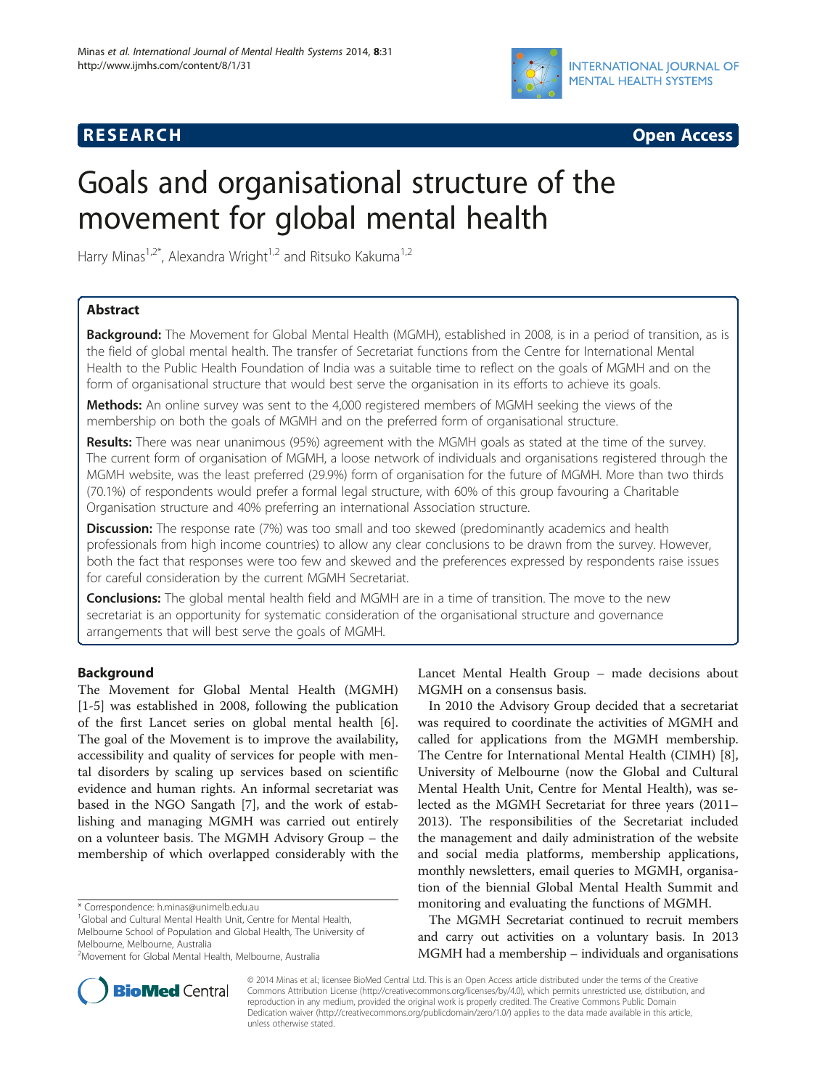



# Goals and organisational structure of the movement for global mental health

Harry Minas<sup>1,2\*</sup>, Alexandra Wright<sup>1,2</sup> and Ritsuko Kakuma<sup>1,2</sup>

# Abstract

Background: The Movement for Global Mental Health (MGMH), established in 2008, is in a period of transition, as is the field of global mental health. The transfer of Secretariat functions from the Centre for International Mental Health to the Public Health Foundation of India was a suitable time to reflect on the goals of MGMH and on the form of organisational structure that would best serve the organisation in its efforts to achieve its goals.

Methods: An online survey was sent to the 4,000 registered members of MGMH seeking the views of the membership on both the goals of MGMH and on the preferred form of organisational structure.

Results: There was near unanimous (95%) agreement with the MGMH goals as stated at the time of the survey. The current form of organisation of MGMH, a loose network of individuals and organisations registered through the MGMH website, was the least preferred (29.9%) form of organisation for the future of MGMH. More than two thirds (70.1%) of respondents would prefer a formal legal structure, with 60% of this group favouring a Charitable Organisation structure and 40% preferring an international Association structure.

**Discussion:** The response rate (7%) was too small and too skewed (predominantly academics and health professionals from high income countries) to allow any clear conclusions to be drawn from the survey. However, both the fact that responses were too few and skewed and the preferences expressed by respondents raise issues for careful consideration by the current MGMH Secretariat.

**Conclusions:** The global mental health field and MGMH are in a time of transition. The move to the new secretariat is an opportunity for systematic consideration of the organisational structure and governance arrangements that will best serve the goals of MGMH.

# Background

The Movement for Global Mental Health (MGMH) [[1-5](#page-7-0)] was established in 2008, following the publication of the first Lancet series on global mental health [\[6](#page-7-0)]. The goal of the Movement is to improve the availability, accessibility and quality of services for people with mental disorders by scaling up services based on scientific evidence and human rights. An informal secretariat was based in the NGO Sangath [[7\]](#page-7-0), and the work of establishing and managing MGMH was carried out entirely on a volunteer basis. The MGMH Advisory Group – the membership of which overlapped considerably with the

\* Correspondence: [h.minas@unimelb.edu.au](mailto:h.minas@unimelb.edu.au) <sup>1</sup>

<sup>1</sup>Global and Cultural Mental Health Unit, Centre for Mental Health, Melbourne School of Population and Global Health, The University of Melbourne, Melbourne, Australia

Lancet Mental Health Group – made decisions about MGMH on a consensus basis.

In 2010 the Advisory Group decided that a secretariat was required to coordinate the activities of MGMH and called for applications from the MGMH membership. The Centre for International Mental Health (CIMH) [\[8](#page-7-0)], University of Melbourne (now the Global and Cultural Mental Health Unit, Centre for Mental Health), was selected as the MGMH Secretariat for three years (2011– 2013). The responsibilities of the Secretariat included the management and daily administration of the website and social media platforms, membership applications, monthly newsletters, email queries to MGMH, organisation of the biennial Global Mental Health Summit and monitoring and evaluating the functions of MGMH.

The MGMH Secretariat continued to recruit members and carry out activities on a voluntary basis. In 2013 MGMH had a membership – individuals and organisations



© 2014 Minas et al.; licensee BioMed Central Ltd. This is an Open Access article distributed under the terms of the Creative Commons Attribution License [\(http://creativecommons.org/licenses/by/4.0\)](http://creativecommons.org/licenses/by/4.0), which permits unrestricted use, distribution, and reproduction in any medium, provided the original work is properly credited. The Creative Commons Public Domain Dedication waiver [\(http://creativecommons.org/publicdomain/zero/1.0/](http://creativecommons.org/publicdomain/zero/1.0/)) applies to the data made available in this article, unless otherwise stated.

<sup>2</sup> Movement for Global Mental Health, Melbourne, Australia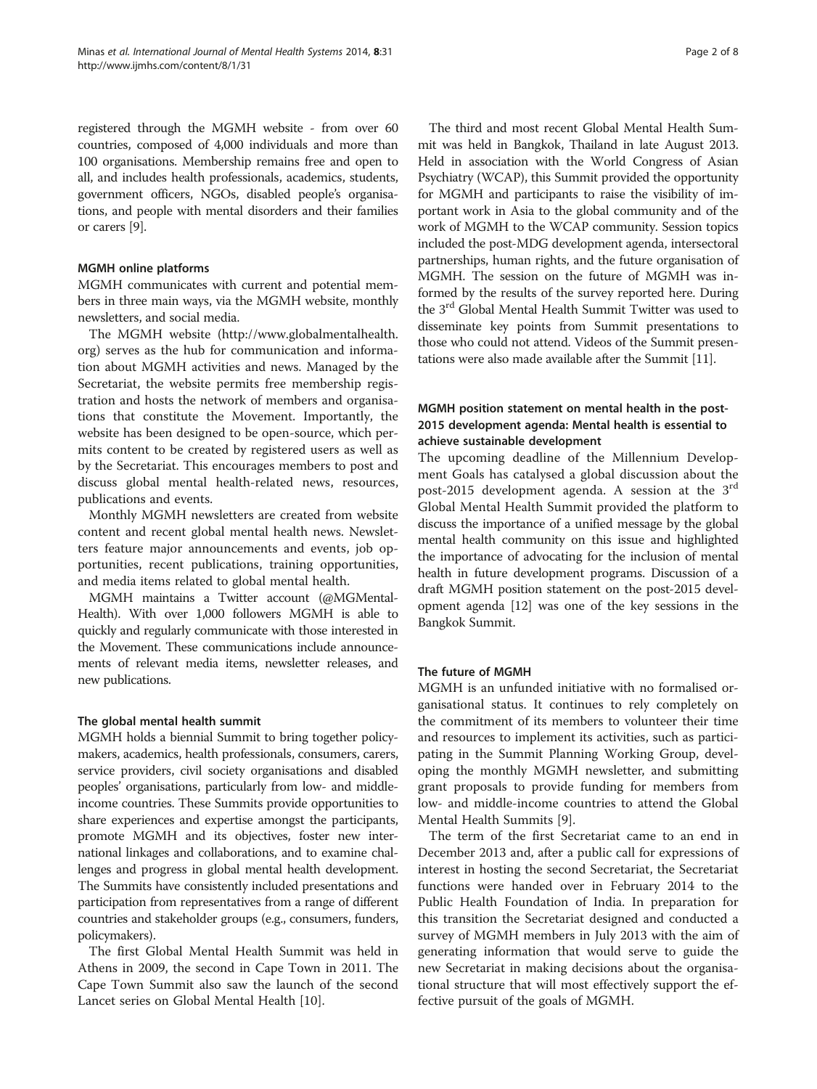registered through the MGMH website - from over 60 countries, composed of 4,000 individuals and more than 100 organisations. Membership remains free and open to all, and includes health professionals, academics, students, government officers, NGOs, disabled people's organisations, and people with mental disorders and their families or carers [\[9\]](#page-7-0).

## MGMH online platforms

MGMH communicates with current and potential members in three main ways, via the MGMH website, monthly newsletters, and social media.

The MGMH website ([http://www.globalmentalhealth.](http://www.globalmentalhealth.org/) [org](http://www.globalmentalhealth.org/)) serves as the hub for communication and information about MGMH activities and news. Managed by the Secretariat, the website permits free membership registration and hosts the network of members and organisations that constitute the Movement. Importantly, the website has been designed to be open-source, which permits content to be created by registered users as well as by the Secretariat. This encourages members to post and discuss global mental health-related news, resources, publications and events.

Monthly MGMH newsletters are created from website content and recent global mental health news. Newsletters feature major announcements and events, job opportunities, recent publications, training opportunities, and media items related to global mental health.

MGMH maintains a Twitter account (@MGMental-Health). With over 1,000 followers MGMH is able to quickly and regularly communicate with those interested in the Movement. These communications include announcements of relevant media items, newsletter releases, and new publications.

#### The global mental health summit

MGMH holds a biennial Summit to bring together policymakers, academics, health professionals, consumers, carers, service providers, civil society organisations and disabled peoples' organisations, particularly from low- and middleincome countries. These Summits provide opportunities to share experiences and expertise amongst the participants, promote MGMH and its objectives, foster new international linkages and collaborations, and to examine challenges and progress in global mental health development. The Summits have consistently included presentations and participation from representatives from a range of different countries and stakeholder groups (e.g., consumers, funders, policymakers).

The first Global Mental Health Summit was held in Athens in 2009, the second in Cape Town in 2011. The Cape Town Summit also saw the launch of the second Lancet series on Global Mental Health [[10\]](#page-7-0).

The third and most recent Global Mental Health Summit was held in Bangkok, Thailand in late August 2013. Held in association with the World Congress of Asian Psychiatry (WCAP), this Summit provided the opportunity for MGMH and participants to raise the visibility of important work in Asia to the global community and of the work of MGMH to the WCAP community. Session topics included the post-MDG development agenda, intersectoral partnerships, human rights, and the future organisation of MGMH. The session on the future of MGMH was informed by the results of the survey reported here. During the 3rd Global Mental Health Summit Twitter was used to disseminate key points from Summit presentations to those who could not attend. Videos of the Summit presentations were also made available after the Summit [\[11](#page-7-0)].

# MGMH position statement on mental health in the post-2015 development agenda: Mental health is essential to achieve sustainable development

The upcoming deadline of the Millennium Development Goals has catalysed a global discussion about the post-2015 development agenda. A session at the 3rd Global Mental Health Summit provided the platform to discuss the importance of a unified message by the global mental health community on this issue and highlighted the importance of advocating for the inclusion of mental health in future development programs. Discussion of a draft MGMH position statement on the post-2015 development agenda [\[12](#page-7-0)] was one of the key sessions in the Bangkok Summit.

#### The future of MGMH

MGMH is an unfunded initiative with no formalised organisational status. It continues to rely completely on the commitment of its members to volunteer their time and resources to implement its activities, such as participating in the Summit Planning Working Group, developing the monthly MGMH newsletter, and submitting grant proposals to provide funding for members from low- and middle-income countries to attend the Global Mental Health Summits [\[9](#page-7-0)].

The term of the first Secretariat came to an end in December 2013 and, after a public call for expressions of interest in hosting the second Secretariat, the Secretariat functions were handed over in February 2014 to the Public Health Foundation of India. In preparation for this transition the Secretariat designed and conducted a survey of MGMH members in July 2013 with the aim of generating information that would serve to guide the new Secretariat in making decisions about the organisational structure that will most effectively support the effective pursuit of the goals of MGMH.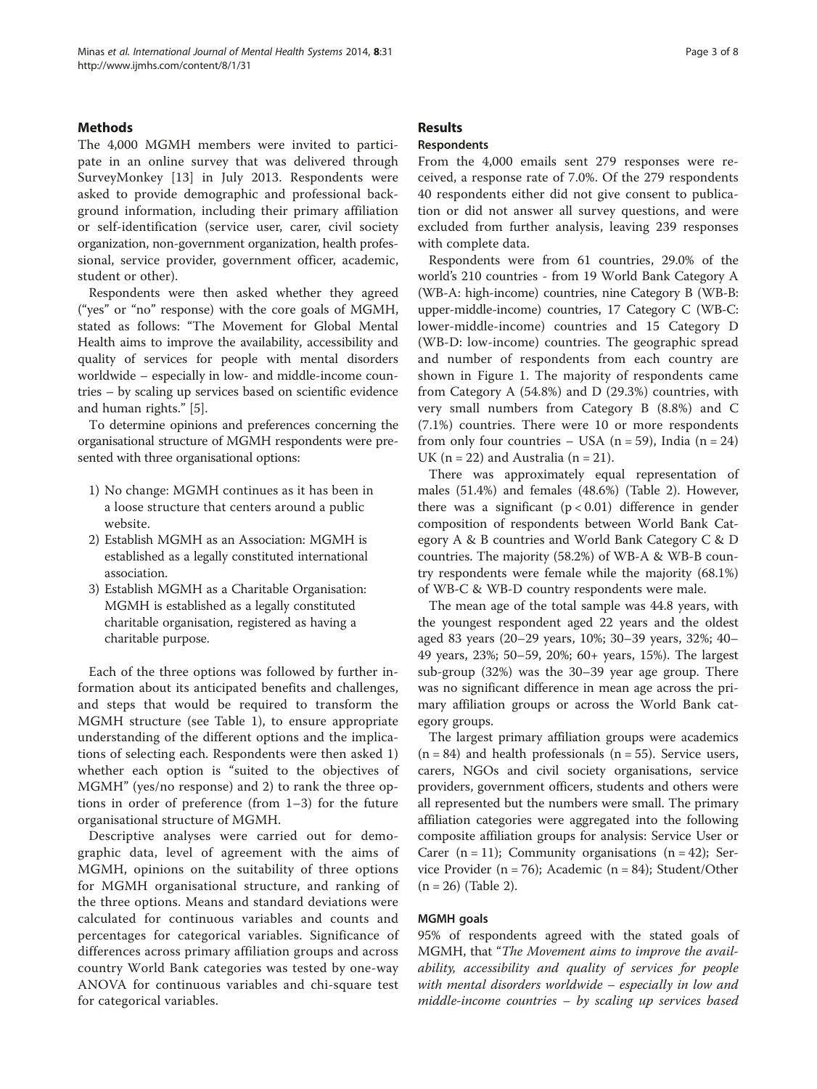# **Methods**

The 4,000 MGMH members were invited to participate in an online survey that was delivered through SurveyMonkey [\[13](#page-7-0)] in July 2013. Respondents were asked to provide demographic and professional background information, including their primary affiliation or self-identification (service user, carer, civil society organization, non-government organization, health professional, service provider, government officer, academic, student or other).

Respondents were then asked whether they agreed ("yes" or "no" response) with the core goals of MGMH, stated as follows: "The Movement for Global Mental Health aims to improve the availability, accessibility and quality of services for people with mental disorders worldwide – especially in low- and middle-income countries – by scaling up services based on scientific evidence and human rights." [\[5](#page-7-0)].

To determine opinions and preferences concerning the organisational structure of MGMH respondents were presented with three organisational options:

- 1) No change: MGMH continues as it has been in a loose structure that centers around a public website.
- 2) Establish MGMH as an Association: MGMH is established as a legally constituted international association.
- 3) Establish MGMH as a Charitable Organisation: MGMH is established as a legally constituted charitable organisation, registered as having a charitable purpose.

Each of the three options was followed by further information about its anticipated benefits and challenges, and steps that would be required to transform the MGMH structure (see Table [1](#page-3-0)), to ensure appropriate understanding of the different options and the implications of selecting each. Respondents were then asked 1) whether each option is "suited to the objectives of MGMH" (yes/no response) and 2) to rank the three options in order of preference (from 1–3) for the future organisational structure of MGMH.

Descriptive analyses were carried out for demographic data, level of agreement with the aims of MGMH, opinions on the suitability of three options for MGMH organisational structure, and ranking of the three options. Means and standard deviations were calculated for continuous variables and counts and percentages for categorical variables. Significance of differences across primary affiliation groups and across country World Bank categories was tested by one-way ANOVA for continuous variables and chi-square test for categorical variables.

# Results

# Respondents

From the 4,000 emails sent 279 responses were received, a response rate of 7.0%. Of the 279 respondents 40 respondents either did not give consent to publication or did not answer all survey questions, and were excluded from further analysis, leaving 239 responses with complete data.

Respondents were from 61 countries, 29.0% of the world's 210 countries - from 19 World Bank Category A (WB-A: high-income) countries, nine Category B (WB-B: upper-middle-income) countries, 17 Category C (WB-C: lower-middle-income) countries and 15 Category D (WB-D: low-income) countries. The geographic spread and number of respondents from each country are shown in Figure [1.](#page-4-0) The majority of respondents came from Category A (54.8%) and D (29.3%) countries, with very small numbers from Category B (8.8%) and C (7.1%) countries. There were 10 or more respondents from only four countries – USA ( $n = 59$ ), India ( $n = 24$ ) UK ( $n = 22$ ) and Australia ( $n = 21$ ).

There was approximately equal representation of males (51.4%) and females (48.6%) (Table [2\)](#page-5-0). However, there was a significant  $(p < 0.01)$  difference in gender composition of respondents between World Bank Category A & B countries and World Bank Category C & D countries. The majority (58.2%) of WB-A & WB-B country respondents were female while the majority (68.1%) of WB-C & WB-D country respondents were male.

The mean age of the total sample was 44.8 years, with the youngest respondent aged 22 years and the oldest aged 83 years (20–29 years, 10%; 30–39 years, 32%; 40– 49 years, 23%; 50–59, 20%; 60+ years, 15%). The largest sub-group (32%) was the 30–39 year age group. There was no significant difference in mean age across the primary affiliation groups or across the World Bank category groups.

The largest primary affiliation groups were academics  $(n = 84)$  and health professionals  $(n = 55)$ . Service users, carers, NGOs and civil society organisations, service providers, government officers, students and others were all represented but the numbers were small. The primary affiliation categories were aggregated into the following composite affiliation groups for analysis: Service User or Carer (n = 11); Community organisations (n = 42); Service Provider ( $n = 76$ ); Academic ( $n = 84$ ); Student/Other (n = 26) (Table [2](#page-5-0)).

## MGMH goals

95% of respondents agreed with the stated goals of MGMH, that "The Movement aims to improve the availability, accessibility and quality of services for people with mental disorders worldwide – especially in low and middle-income countries – by scaling up services based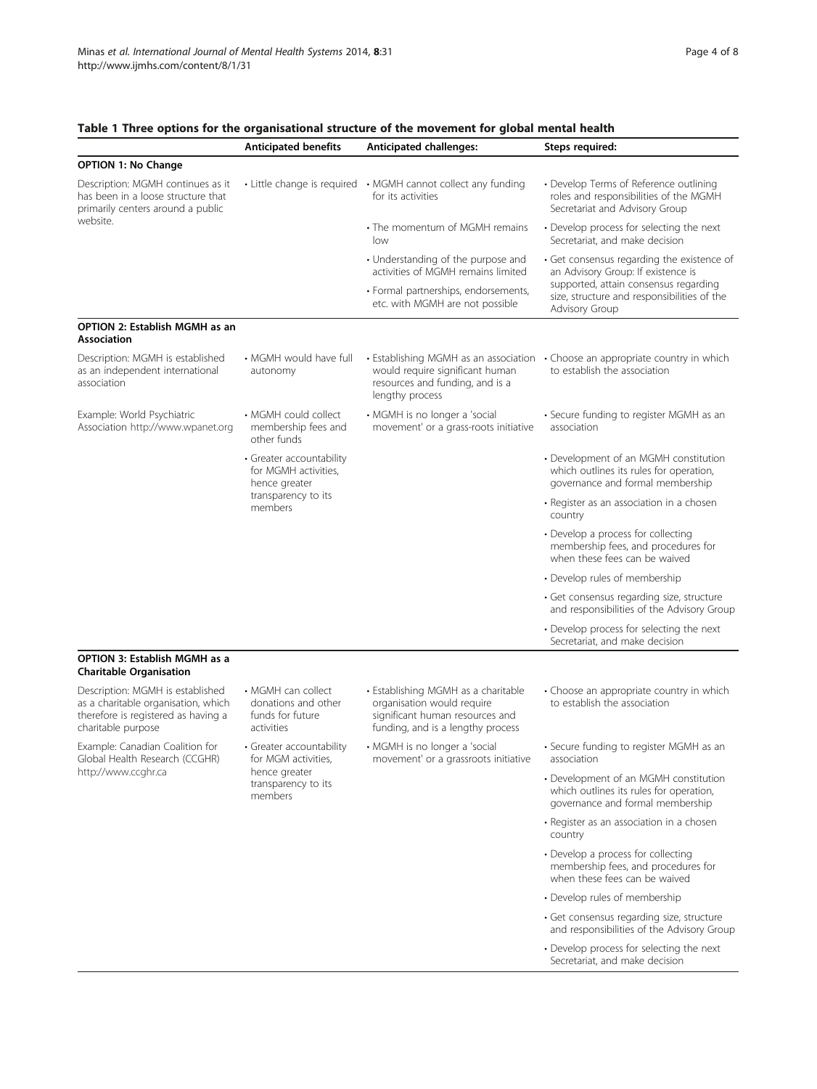<span id="page-3-0"></span>

|  |  |  |  | Table 1 Three options for the organisational structure of the movement for global mental health |  |
|--|--|--|--|-------------------------------------------------------------------------------------------------|--|
|--|--|--|--|-------------------------------------------------------------------------------------------------|--|

|                                                                                                                                      | <b>Anticipated benefits</b>                                                                         | <b>Anticipated challenges:</b>                                                                                                            | Steps required:                                                                                                      |  |
|--------------------------------------------------------------------------------------------------------------------------------------|-----------------------------------------------------------------------------------------------------|-------------------------------------------------------------------------------------------------------------------------------------------|----------------------------------------------------------------------------------------------------------------------|--|
| <b>OPTION 1: No Change</b>                                                                                                           |                                                                                                     |                                                                                                                                           |                                                                                                                      |  |
| Description: MGMH continues as it<br>has been in a loose structure that<br>primarily centers around a public                         |                                                                                                     | • Little change is required • MGMH cannot collect any funding<br>for its activities                                                       | • Develop Terms of Reference outlining<br>roles and responsibilities of the MGMH<br>Secretariat and Advisory Group   |  |
| website.                                                                                                                             |                                                                                                     | • The momentum of MGMH remains<br>low                                                                                                     | • Develop process for selecting the next<br>Secretariat, and make decision                                           |  |
|                                                                                                                                      |                                                                                                     | • Understanding of the purpose and<br>activities of MGMH remains limited                                                                  | • Get consensus regarding the existence of<br>an Advisory Group: If existence is                                     |  |
|                                                                                                                                      |                                                                                                     | • Formal partnerships, endorsements,<br>etc. with MGMH are not possible                                                                   | supported, attain consensus regarding<br>size, structure and responsibilities of the<br><b>Advisory Group</b>        |  |
| OPTION 2: Establish MGMH as an<br><b>Association</b>                                                                                 |                                                                                                     |                                                                                                                                           |                                                                                                                      |  |
| Description: MGMH is established<br>as an independent international<br>association                                                   | • MGMH would have full<br>autonomy                                                                  | would require significant human<br>resources and funding, and is a<br>lengthy process                                                     | • Establishing MGMH as an association • Choose an appropriate country in which<br>to establish the association       |  |
| Example: World Psychiatric<br>Association http://www.wpanet.org                                                                      | • MGMH could collect<br>membership fees and<br>other funds                                          | • MGMH is no longer a 'social<br>movement' or a grass-roots initiative                                                                    | • Secure funding to register MGMH as an<br>association                                                               |  |
|                                                                                                                                      | · Greater accountability<br>for MGMH activities,<br>hence greater<br>transparency to its<br>members |                                                                                                                                           | • Development of an MGMH constitution<br>which outlines its rules for operation,<br>governance and formal membership |  |
|                                                                                                                                      |                                                                                                     |                                                                                                                                           | • Register as an association in a chosen<br>country                                                                  |  |
|                                                                                                                                      |                                                                                                     |                                                                                                                                           | • Develop a process for collecting<br>membership fees, and procedures for<br>when these fees can be waived           |  |
|                                                                                                                                      |                                                                                                     |                                                                                                                                           | • Develop rules of membership                                                                                        |  |
|                                                                                                                                      |                                                                                                     |                                                                                                                                           | · Get consensus regarding size, structure<br>and responsibilities of the Advisory Group                              |  |
|                                                                                                                                      |                                                                                                     |                                                                                                                                           | • Develop process for selecting the next<br>Secretariat, and make decision                                           |  |
| OPTION 3: Establish MGMH as a<br><b>Charitable Organisation</b>                                                                      |                                                                                                     |                                                                                                                                           |                                                                                                                      |  |
| Description: MGMH is established<br>as a charitable organisation, which<br>therefore is registered as having a<br>charitable purpose | • MGMH can collect<br>donations and other<br>funds for future<br>activities                         | • Establishing MGMH as a charitable<br>organisation would require<br>significant human resources and<br>funding, and is a lengthy process | • Choose an appropriate country in which<br>to establish the association                                             |  |
| Example: Canadian Coalition for<br>Global Health Research (CCGHR)                                                                    | · Greater accountability<br>for MGM activities,<br>hence greater<br>transparency to its<br>members  | • MGMH is no longer a 'social<br>movement' or a grassroots initiative                                                                     | • Secure funding to register MGMH as an<br>association                                                               |  |
| http://www.ccghr.ca                                                                                                                  |                                                                                                     |                                                                                                                                           | • Development of an MGMH constitution<br>which outlines its rules for operation,<br>governance and formal membership |  |
|                                                                                                                                      |                                                                                                     |                                                                                                                                           | • Register as an association in a chosen<br>country                                                                  |  |
|                                                                                                                                      |                                                                                                     |                                                                                                                                           | • Develop a process for collecting<br>membership fees, and procedures for<br>when these fees can be waived           |  |
|                                                                                                                                      |                                                                                                     |                                                                                                                                           | • Develop rules of membership                                                                                        |  |
|                                                                                                                                      |                                                                                                     |                                                                                                                                           | · Get consensus regarding size, structure<br>and responsibilities of the Advisory Group                              |  |

• Develop process for selecting the next Secretariat, and make decision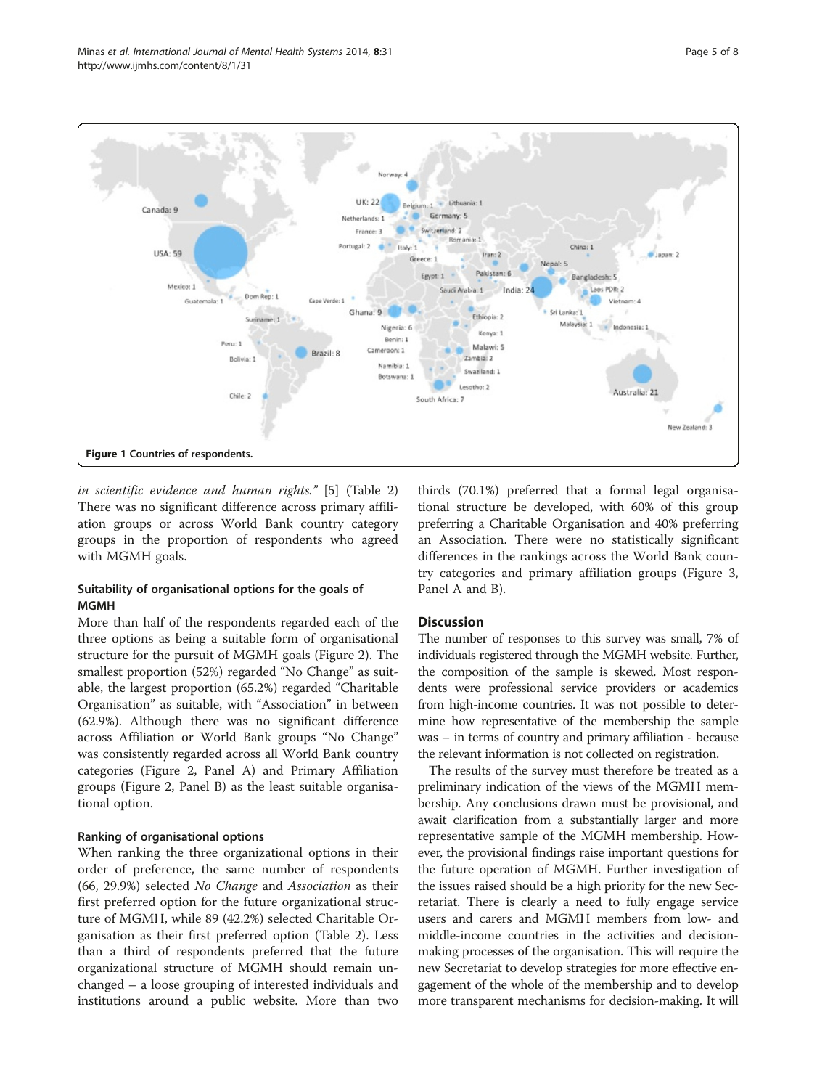<span id="page-4-0"></span>

in scientific evidence and human rights." [\[5](#page-7-0)] (Table [2](#page-5-0)) There was no significant difference across primary affiliation groups or across World Bank country category groups in the proportion of respondents who agreed with MGMH goals.

# Suitability of organisational options for the goals of MGMH

More than half of the respondents regarded each of the three options as being a suitable form of organisational structure for the pursuit of MGMH goals (Figure [2](#page-6-0)). The smallest proportion (52%) regarded "No Change" as suitable, the largest proportion (65.2%) regarded "Charitable Organisation" as suitable, with "Association" in between (62.9%). Although there was no significant difference across Affiliation or World Bank groups "No Change" was consistently regarded across all World Bank country categories (Figure [2,](#page-6-0) Panel A) and Primary Affiliation groups (Figure [2](#page-6-0), Panel B) as the least suitable organisational option.

# Ranking of organisational options

When ranking the three organizational options in their order of preference, the same number of respondents (66, 29.9%) selected No Change and Association as their first preferred option for the future organizational structure of MGMH, while 89 (42.2%) selected Charitable Organisation as their first preferred option (Table [2\)](#page-5-0). Less than a third of respondents preferred that the future organizational structure of MGMH should remain unchanged – a loose grouping of interested individuals and institutions around a public website. More than two

thirds (70.1%) preferred that a formal legal organisational structure be developed, with 60% of this group preferring a Charitable Organisation and 40% preferring an Association. There were no statistically significant differences in the rankings across the World Bank country categories and primary affiliation groups (Figure [3](#page-6-0), Panel A and B).

# **Discussion**

The number of responses to this survey was small, 7% of individuals registered through the MGMH website. Further, the composition of the sample is skewed. Most respondents were professional service providers or academics from high-income countries. It was not possible to determine how representative of the membership the sample was – in terms of country and primary affiliation - because the relevant information is not collected on registration.

The results of the survey must therefore be treated as a preliminary indication of the views of the MGMH membership. Any conclusions drawn must be provisional, and await clarification from a substantially larger and more representative sample of the MGMH membership. However, the provisional findings raise important questions for the future operation of MGMH. Further investigation of the issues raised should be a high priority for the new Secretariat. There is clearly a need to fully engage service users and carers and MGMH members from low- and middle-income countries in the activities and decisionmaking processes of the organisation. This will require the new Secretariat to develop strategies for more effective engagement of the whole of the membership and to develop more transparent mechanisms for decision-making. It will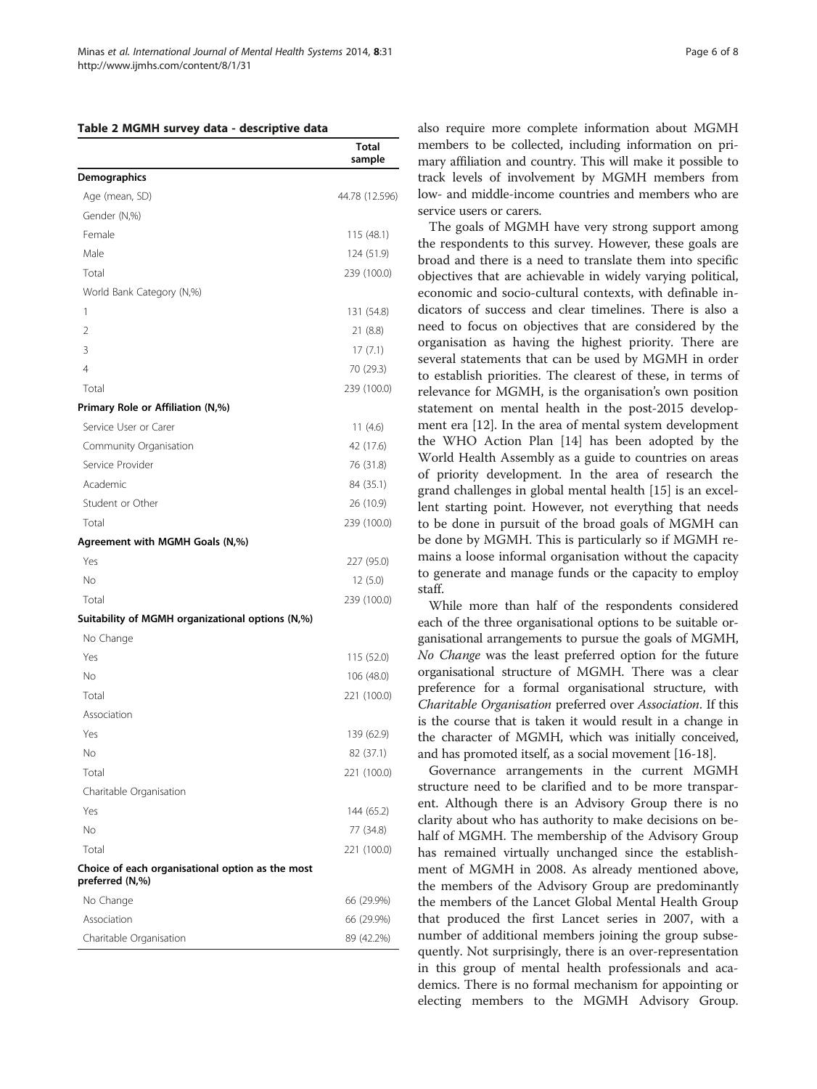#### <span id="page-5-0"></span>Table 2 MGMH survey data - descriptive data

|                                                                     | <b>Total</b><br>sample |
|---------------------------------------------------------------------|------------------------|
| Demographics                                                        |                        |
| Age (mean, SD)                                                      | 44.78 (12.596)         |
| Gender (N,%)                                                        |                        |
| Female                                                              | 115(48.1)              |
| Male                                                                | 124 (51.9)             |
| Total                                                               | 239 (100.0)            |
| World Bank Category (N,%)                                           |                        |
| 1                                                                   | 131 (54.8)             |
| 2                                                                   | 21 (8.8)               |
| 3                                                                   | 17(7.1)                |
| $\overline{4}$                                                      | 70 (29.3)              |
| Total                                                               | 239 (100.0)            |
| Primary Role or Affiliation (N,%)                                   |                        |
| Service User or Carer                                               | 11(4.6)                |
| Community Organisation                                              | 42 (17.6)              |
| Service Provider                                                    | 76 (31.8)              |
| Academic                                                            | 84 (35.1)              |
| Student or Other                                                    | 26 (10.9)              |
| Total                                                               | 239 (100.0)            |
| Agreement with MGMH Goals (N,%)                                     |                        |
| Yes                                                                 | 227 (95.0)             |
| <b>No</b>                                                           | 12 (5.0)               |
| Total                                                               | 239 (100.0)            |
| Suitability of MGMH organizational options (N,%)                    |                        |
| No Change                                                           |                        |
| Yes                                                                 | 115 (52.0)             |
| No                                                                  | 106 (48.0)             |
| Total                                                               | 221 (100.0)            |
| Association                                                         |                        |
| Yes                                                                 | 139 (62.9)             |
| No.                                                                 | 82 (37.1)              |
| Total                                                               | 221 (100.0)            |
| Charitable Organisation                                             |                        |
| Yes                                                                 | 144 (65.2)             |
| <b>No</b>                                                           | 77 (34.8)              |
| Total                                                               | 221 (100.0)            |
| Choice of each organisational option as the most<br>preferred (N,%) |                        |
| No Change                                                           | 66 (29.9%)             |
| Association                                                         | 66 (29.9%)             |

Charitable Organisation 89 (42.2%)

also require more complete information about MGMH members to be collected, including information on primary affiliation and country. This will make it possible to track levels of involvement by MGMH members from low- and middle-income countries and members who are service users or carers.

The goals of MGMH have very strong support among the respondents to this survey. However, these goals are broad and there is a need to translate them into specific objectives that are achievable in widely varying political, economic and socio-cultural contexts, with definable indicators of success and clear timelines. There is also a need to focus on objectives that are considered by the organisation as having the highest priority. There are several statements that can be used by MGMH in order to establish priorities. The clearest of these, in terms of relevance for MGMH, is the organisation's own position statement on mental health in the post-2015 development era [[12](#page-7-0)]. In the area of mental system development the WHO Action Plan [[14\]](#page-7-0) has been adopted by the World Health Assembly as a guide to countries on areas of priority development. In the area of research the grand challenges in global mental health [[15](#page-7-0)] is an excellent starting point. However, not everything that needs to be done in pursuit of the broad goals of MGMH can be done by MGMH. This is particularly so if MGMH remains a loose informal organisation without the capacity to generate and manage funds or the capacity to employ staff.

While more than half of the respondents considered each of the three organisational options to be suitable organisational arrangements to pursue the goals of MGMH, No Change was the least preferred option for the future organisational structure of MGMH. There was a clear preference for a formal organisational structure, with Charitable Organisation preferred over Association. If this is the course that is taken it would result in a change in the character of MGMH, which was initially conceived, and has promoted itself, as a social movement [\[16](#page-7-0)-[18](#page-7-0)].

Governance arrangements in the current MGMH structure need to be clarified and to be more transparent. Although there is an Advisory Group there is no clarity about who has authority to make decisions on behalf of MGMH. The membership of the Advisory Group has remained virtually unchanged since the establishment of MGMH in 2008. As already mentioned above, the members of the Advisory Group are predominantly the members of the Lancet Global Mental Health Group that produced the first Lancet series in 2007, with a number of additional members joining the group subsequently. Not surprisingly, there is an over-representation in this group of mental health professionals and academics. There is no formal mechanism for appointing or electing members to the MGMH Advisory Group.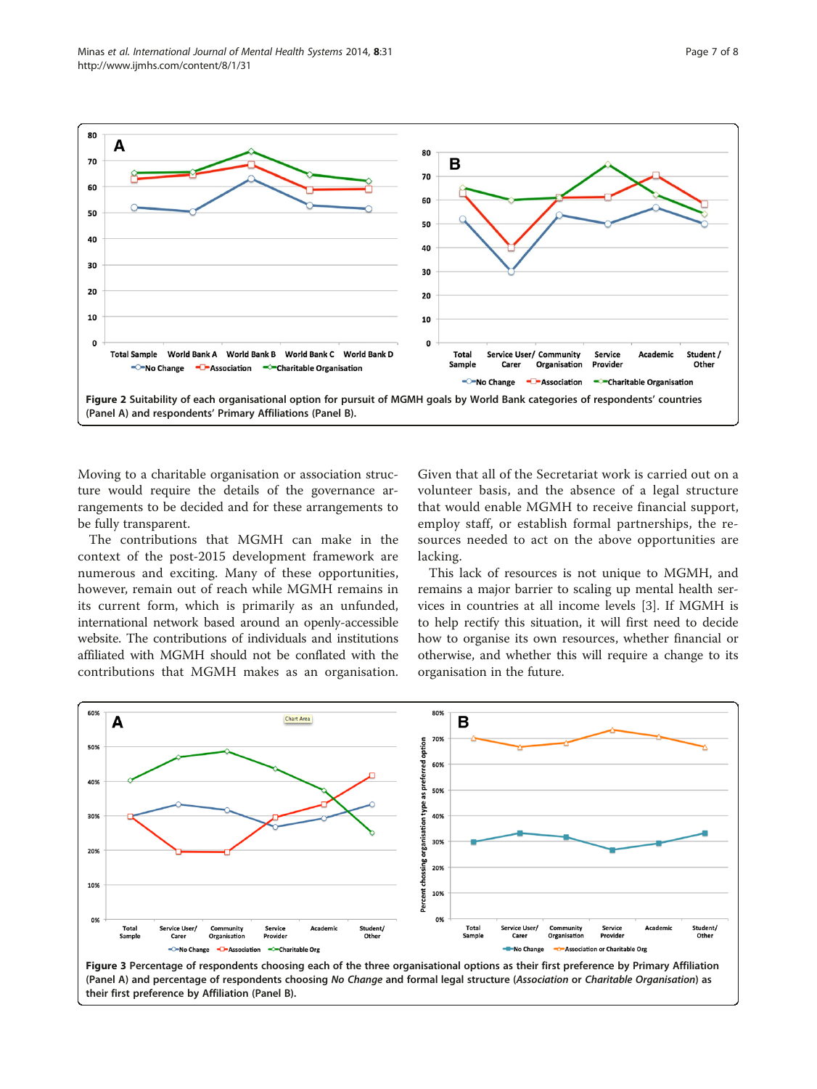Moving to a charitable organisation or association structure would require the details of the governance arrangements to be decided and for these arrangements to be fully transparent.

The contributions that MGMH can make in the context of the post-2015 development framework are numerous and exciting. Many of these opportunities, however, remain out of reach while MGMH remains in its current form, which is primarily as an unfunded, international network based around an openly-accessible website. The contributions of individuals and institutions affiliated with MGMH should not be conflated with the contributions that MGMH makes as an organisation.

Given that all of the Secretariat work is carried out on a volunteer basis, and the absence of a legal structure that would enable MGMH to receive financial support, employ staff, or establish formal partnerships, the resources needed to act on the above opportunities are lacking.

This lack of resources is not unique to MGMH, and remains a major barrier to scaling up mental health services in countries at all income levels [[3\]](#page-7-0). If MGMH is to help rectify this situation, it will first need to decide how to organise its own resources, whether financial or otherwise, and whether this will require a change to its organisation in the future.

<span id="page-6-0"></span>





Figure 3 Percentage of respondents choosing each of the three organisational options as their first preference by Primary Affiliation (Panel A) and percentage of respondents choosing No Change and formal legal structure (Association or Charitable Organisation) as their first preference by Affiliation (Panel B).